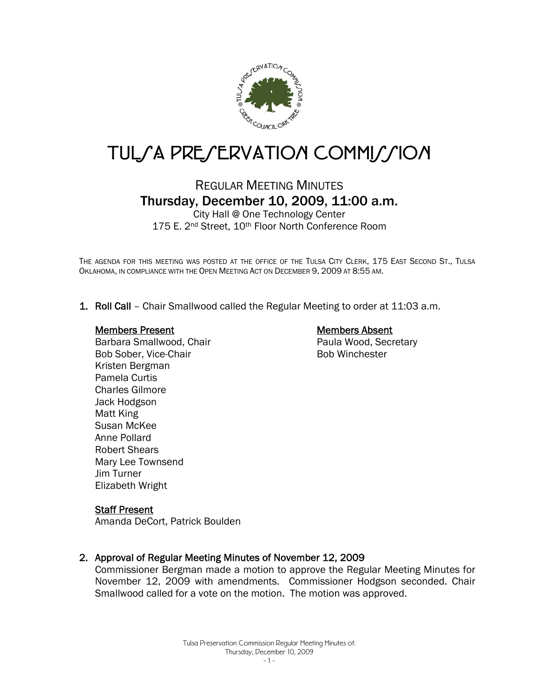

# TUL/A PRE/ERVATION COMMI//ION

## REGULAR MEETING MINUTES Thursday, December 10, 2009, 11:00 a.m.

City Hall @ One Technology Center 175 E. 2<sup>nd</sup> Street, 10<sup>th</sup> Floor North Conference Room

THE AGENDA FOR THIS MEETING WAS POSTED AT THE OFFICE OF THE TULSA CITY CLERK, 175 EAST SECOND ST., TULSA OKLAHOMA, IN COMPLIANCE WITH THE OPEN MEETING ACT ON DECEMBER 9, 2009 AT 8:55 AM.

1. Roll Call – Chair Smallwood called the Regular Meeting to order at 11:03 a.m.

#### Members Present

Barbara Smallwood, Chair Bob Sober, Vice-Chair Kristen Bergman Pamela Curtis Charles Gilmore Jack Hodgson Matt King Susan McKee Anne Pollard Robert Shears Mary Lee Townsend Jim Turner Elizabeth Wright

### Members Absent

Paula Wood, Secretary Bob Winchester

#### Staff Present

Amanda DeCort, Patrick Boulden

#### 2. Approval of Regular Meeting Minutes of November 12, 2009

Commissioner Bergman made a motion to approve the Regular Meeting Minutes for November 12, 2009 with amendments. Commissioner Hodgson seconded. Chair Smallwood called for a vote on the motion. The motion was approved.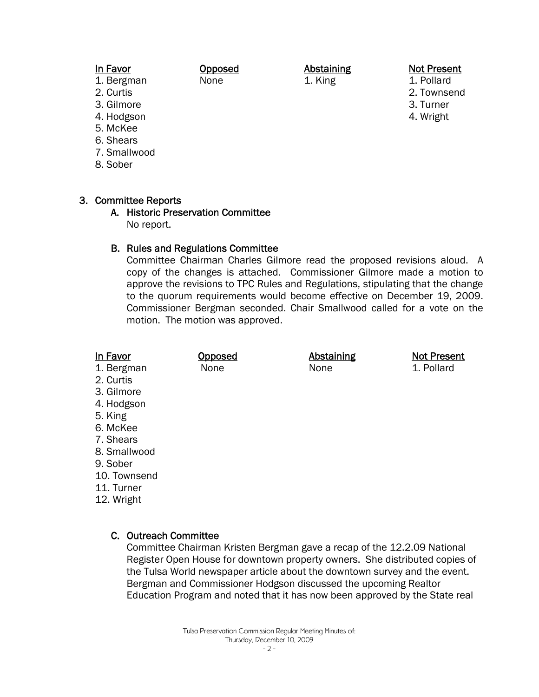#### In Favor

- 1. Bergman
- 2. Curtis
- 3. Gilmore
- 4. Hodgson
- 5. McKee
- 6. Shears
- 7. Smallwood
- 8. Sober

#### 3. Committee Reports

A. Historic Preservation Committee No report.

Opposed None

#### B. Rules and Regulations Committee

Committee Chairman Charles Gilmore read the proposed revisions aloud. A copy of the changes is attached. Commissioner Gilmore made a motion to approve the revisions to TPC Rules and Regulations, stipulating that the change to the quorum requirements would become effective on December 19, 2009. Commissioner Bergman seconded. Chair Smallwood called for a vote on the motion. The motion was approved.

- 1. Bergman None None None 1. Pollard
- 2. Curtis
- 3. Gilmore
- 4. Hodgson
- 5. King
- 6. McKee
- 7. Shears
- 8. Smallwood
- 9. Sober
- 10. Townsend
- 11. Turner
- 12. Wright

### C. Outreach Committee

Committee Chairman Kristen Bergman gave a recap of the 12.2.09 National Register Open House for downtown property owners. She distributed copies of the Tulsa World newspaper article about the downtown survey and the event. Bergman and Commissioner Hodgson discussed the upcoming Realtor Education Program and noted that it has now been approved by the State real

#### Not Present

- 1. Pollard
	- 2. Townsend
- 3. Turner
- 4. Wright

- 2 -

## In Favor **Opposed** Abstaining Not Present

Abstaining 1. King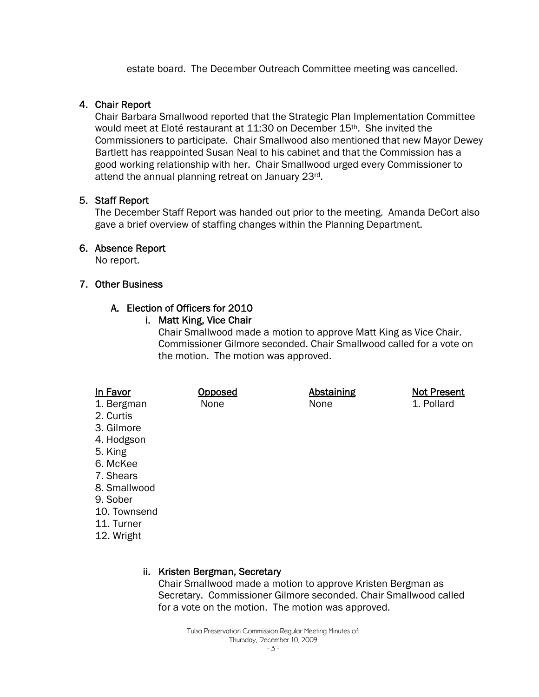estate board. The December Outreach Committee meeting was cancelled.

#### 4. Chair Report

Chair Barbara Smallwood reported that the Strategic Plan Implementation Committee would meet at Eloté restaurant at 11:30 on December 15th. She invited the Commissioners to participate. Chair Smallwood also mentioned that new Mayor Dewey Bartlett has reappointed Susan Neal to his cabinet and that the Commission has a good working relationship with her. Chair Smallwood urged every Commissioner to attend the annual planning retreat on January 23rd.

#### 5. Staff Report

The December Staff Report was handed out prior to the meeting. Amanda DeCort also gave a brief overview of staffing changes within the Planning Department.

#### 6. Absence Report

No report.

#### 7. Other Business

### A. Election of Officers for 2010

#### i. Matt King, Vice Chair

Chair Smallwood made a motion to approve Matt King as Vice Chair. Commissioner Gilmore seconded. Chair Smallwood called for a vote on the motion. The motion was approved.

| In Favor     | <u>Opposed</u> | <b>Abstaining</b> | <b>Not Present</b> |
|--------------|----------------|-------------------|--------------------|
| 1. Bergman   | None           | None              | 1. Pollard         |
| 2. Curtis    |                |                   |                    |
| 3. Gilmore   |                |                   |                    |
| 4. Hodgson   |                |                   |                    |
| 5. King      |                |                   |                    |
| 6. McKee     |                |                   |                    |
| 7. Shears    |                |                   |                    |
| 8. Smallwood |                |                   |                    |
| 9. Sober     |                |                   |                    |
| 10. Townsend |                |                   |                    |
| 11. Turner   |                |                   |                    |
| 12. Wright   |                |                   |                    |
|              |                |                   |                    |

#### ii. Kristen Bergman, Secretary

Chair Smallwood made a motion to approve Kristen Bergman as Secretary. Commissioner Gilmore seconded. Chair Smallwood called for a vote on the motion. The motion was approved.